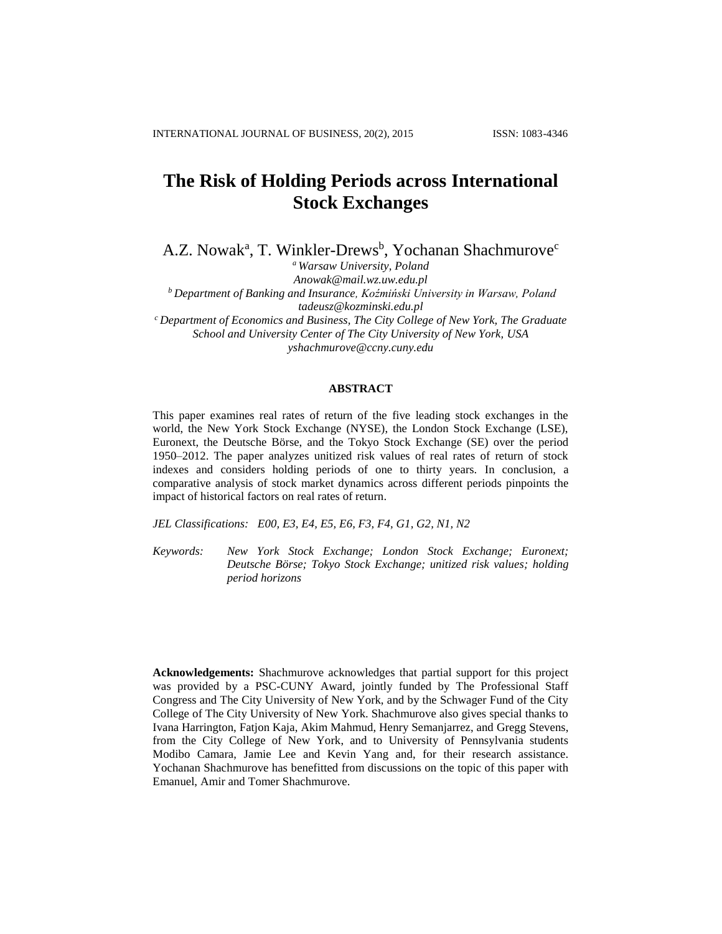# **The Risk of Holding Periods across International Stock Exchanges**

A.Z. Nowak<sup>a</sup>, T. Winkler-Drews<sup>b</sup>, Yochanan Shachmurove<sup>c</sup>

*<sup>a</sup> Warsaw University, Poland Anowak@mail.wz.uw.edu.pl <sup>b</sup> Department of Banking and Insurance, Koźmiński University in Warsaw, Poland [tadeusz@kozminski.edu.pl](mailto:tadeusz@kozminski.edu.pl) <sup>c</sup> Department of Economics and Business, The City College of New York, The Graduate School and University Center of The City University of New York, USA [yshachmurove@ccny.cuny.edu](mailto:yshachmurove@ccny.cuny.edu)*

## **ABSTRACT**

This paper examines real rates of return of the five leading stock exchanges in the world, the New York Stock Exchange (NYSE), the London Stock Exchange (LSE), Euronext, the Deutsche Börse, and the Tokyo Stock Exchange (SE) over the period 1950–2012. The paper analyzes unitized risk values of real rates of return of stock indexes and considers holding periods of one to thirty years. In conclusion, a comparative analysis of stock market dynamics across different periods pinpoints the impact of historical factors on real rates of return.

*JEL Classifications: E00, E3, E4, E5, E6, F3, F4, G1, G2, N1, N2*

*Keywords: New York Stock Exchange; London Stock Exchange; Euronext; Deutsche Börse; Tokyo Stock Exchange; unitized risk values; holding period horizons*

**Acknowledgements:** Shachmurove acknowledges that partial support for this project was provided by a PSC-CUNY Award, jointly funded by The Professional Staff Congress and The City University of New York, and by the Schwager Fund of the City College of The City University of New York. Shachmurove also gives special thanks to Ivana Harrington, Fatjon Kaja, Akim Mahmud, Henry Semanjarrez, and Gregg Stevens, from the City College of New York, and to University of Pennsylvania students Modibo Camara, Jamie Lee and Kevin Yang and, for their research assistance. Yochanan Shachmurove has benefitted from discussions on the topic of this paper with Emanuel, Amir and Tomer Shachmurove.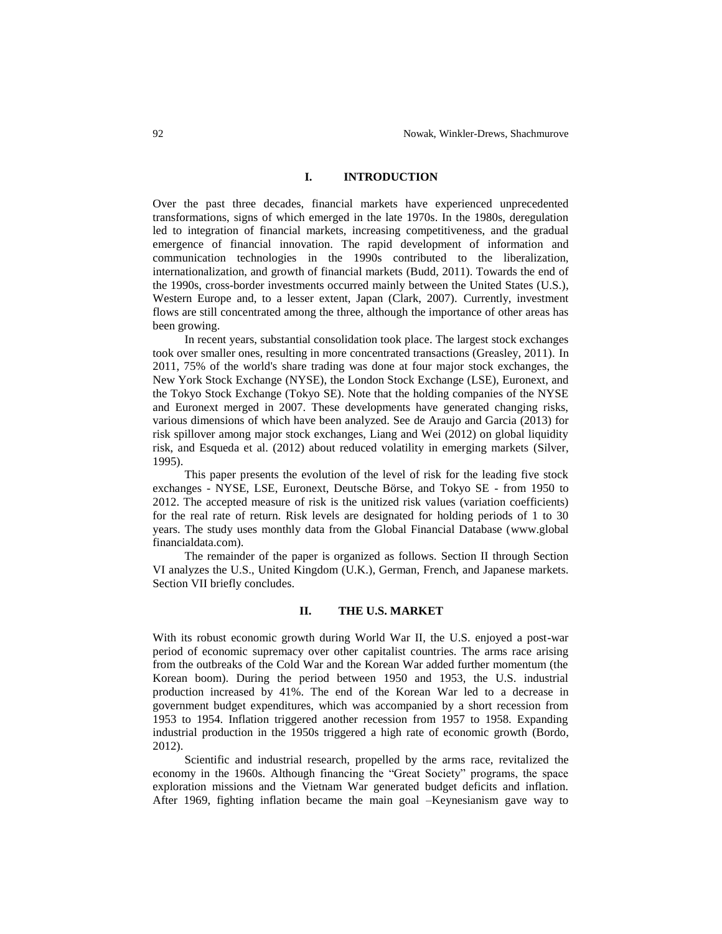# **I. INTRODUCTION**

Over the past three decades, financial markets have experienced unprecedented transformations, signs of which emerged in the late 1970s. In the 1980s, deregulation led to integration of financial markets, increasing competitiveness, and the gradual emergence of financial innovation. The rapid development of information and communication technologies in the 1990s contributed to the liberalization, internationalization, and growth of financial markets (Budd, 2011). Towards the end of the 1990s, cross-border investments occurred mainly between the United States (U.S.), Western Europe and, to a lesser extent, Japan (Clark, 2007). Currently, investment flows are still concentrated among the three, although the importance of other areas has been growing.

In recent years, substantial consolidation took place. The largest stock exchanges took over smaller ones, resulting in more concentrated transactions (Greasley, 2011). In 2011, 75% of the world's share trading was done at four major stock exchanges, the New York Stock Exchange (NYSE), the London Stock Exchange (LSE), Euronext, and the Tokyo Stock Exchange (Tokyo SE). Note that the holding companies of the NYSE and Euronext merged in 2007. These developments have generated changing risks, various dimensions of which have been analyzed. See de Araujo and Garcia (2013) for risk spillover among major stock exchanges, Liang and Wei (2012) on global liquidity risk, and Esqueda et al. (2012) about reduced volatility in emerging markets (Silver, 1995).

This paper presents the evolution of the level of risk for the leading five stock exchanges - NYSE, LSE, Euronext, Deutsche Börse, and Tokyo SE - from 1950 to 2012. The accepted measure of risk is the unitized risk values (variation coefficients) for the real rate of return. Risk levels are designated for holding periods of 1 to 30 years. The study uses monthly data from the Global Financial Database (www.global financialdata.com).

The remainder of the paper is organized as follows. Section II through Section VI analyzes the U.S., United Kingdom (U.K.), German, French, and Japanese markets. Section VII briefly concludes.

#### **II. THE U.S. MARKET**

With its robust economic growth during World War II, the U.S. enjoyed a post-war period of economic supremacy over other capitalist countries. The arms race arising from the outbreaks of the Cold War and the Korean War added further momentum (the Korean boom). During the period between 1950 and 1953, the U.S. industrial production increased by 41%. The end of the Korean War led to a decrease in government budget expenditures, which was accompanied by a short recession from 1953 to 1954. Inflation triggered another recession from 1957 to 1958. Expanding industrial production in the 1950s triggered a high rate of economic growth (Bordo, 2012).

Scientific and industrial research, propelled by the arms race, revitalized the economy in the 1960s. Although financing the "Great Society" programs, the space exploration missions and the Vietnam War generated budget deficits and inflation. After 1969, fighting inflation became the main goal –Keynesianism gave way to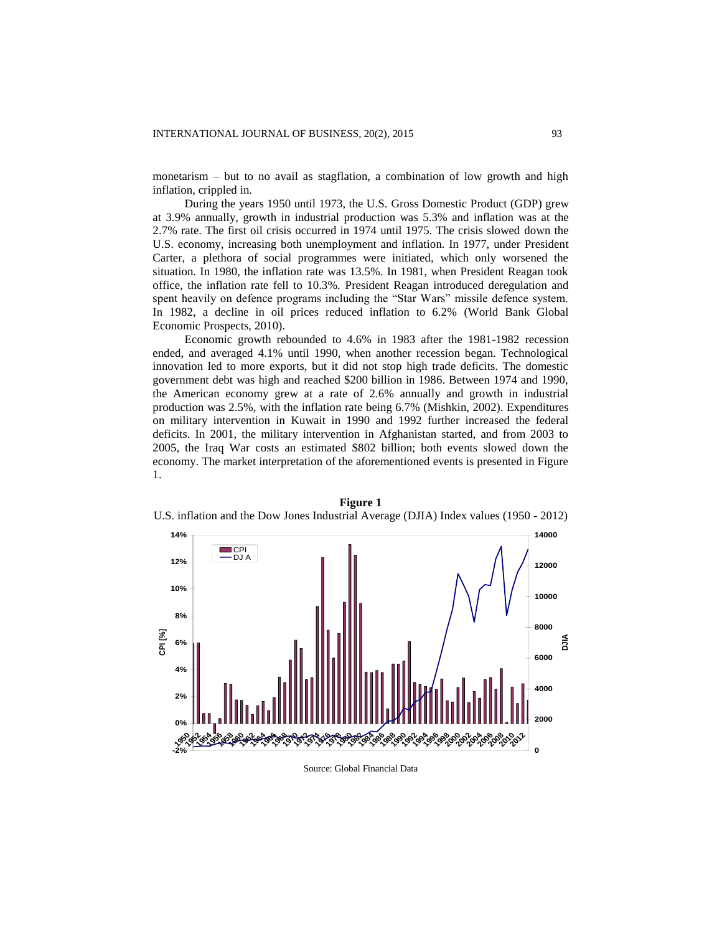monetarism – but to no avail as stagflation, a combination of low growth and high inflation, crippled in.

During the years 1950 until 1973, the U.S. Gross Domestic Product (GDP) grew at 3.9% annually, growth in industrial production was 5.3% and inflation was at the 2.7% rate. The first oil crisis occurred in 1974 until 1975. The crisis slowed down the U.S. economy, increasing both unemployment and inflation. In 1977, under President Carter, a plethora of social programmes were initiated, which only worsened the situation. In 1980, the inflation rate was 13.5%. In 1981, when President Reagan took office, the inflation rate fell to 10.3%. President Reagan introduced deregulation and spent heavily on defence programs including the "Star Wars" missile defence system. In 1982, a decline in oil prices reduced inflation to 6.2% (World Bank Global Economic Prospects, 2010).

Economic growth rebounded to 4.6% in 1983 after the 1981-1982 recession ended, and averaged 4.1% until 1990, when another recession began. Technological innovation led to more exports, but it did not stop high trade deficits. The domestic government debt was high and reached \$200 billion in 1986. Between 1974 and 1990, the American economy grew at a rate of 2.6% annually and growth in industrial production was 2.5%, with the inflation rate being 6.7% (Mishkin, 2002). Expenditures on military intervention in Kuwait in 1990 and 1992 further increased the federal deficits. In 2001, the military intervention in Afghanistan started, and from 2003 to 2005, the Iraq War costs an estimated \$802 billion; both events slowed down the economy. The market interpretation of the aforementioned events is presented in Figure 1.



**Figure 1** U.S. inflation and the Dow Jones Industrial Average (DJIA) Index values (1950 - 2012)

Source: Global Financial Data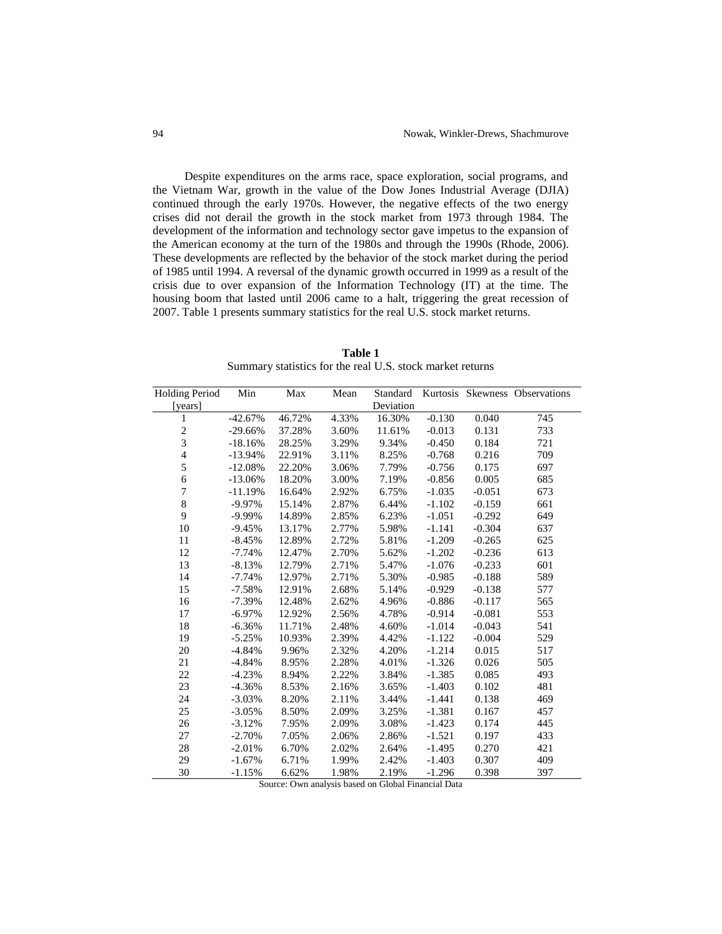Despite expenditures on the arms race, space exploration, social programs, and the Vietnam War, growth in the value of the Dow Jones Industrial Average (DJIA) continued through the early 1970s. However, the negative effects of the two energy crises did not derail the growth in the stock market from 1973 through 1984. The development of the information and technology sector gave impetus to the expansion of the American economy at the turn of the 1980s and through the 1990s (Rhode, 2006). These developments are reflected by the behavior of the stock market during the period of 1985 until 1994. A reversal of the dynamic growth occurred in 1999 as a result of the crisis due to over expansion of the Information Technology (IT) at the time. The housing boom that lasted until 2006 came to a halt, triggering the great recession of 2007. Table 1 presents summary statistics for the real U.S. stock market returns.

**Table 1** Summary statistics for the real U.S. stock market returns

| <b>Holding Period</b>   | Min       | Max    | Mean  | Standard  |          |          | Kurtosis Skewness Observations |
|-------------------------|-----------|--------|-------|-----------|----------|----------|--------------------------------|
| [years]                 |           |        |       | Deviation |          |          |                                |
| 1                       | $-42.67%$ | 46.72% | 4.33% | 16.30%    | $-0.130$ | 0.040    | 745                            |
| $\sqrt{2}$              | $-29.66%$ | 37.28% | 3.60% | 11.61%    | $-0.013$ | 0.131    | 733                            |
| $\overline{\mathbf{3}}$ | $-18.16%$ | 28.25% | 3.29% | 9.34%     | $-0.450$ | 0.184    | 721                            |
| $\overline{\mathbf{4}}$ | $-13.94%$ | 22.91% | 3.11% | 8.25%     | $-0.768$ | 0.216    | 709                            |
| 5                       | $-12.08%$ | 22.20% | 3.06% | 7.79%     | $-0.756$ | 0.175    | 697                            |
| 6                       | $-13.06%$ | 18.20% | 3.00% | 7.19%     | $-0.856$ | 0.005    | 685                            |
| $\overline{7}$          | $-11.19%$ | 16.64% | 2.92% | 6.75%     | $-1.035$ | $-0.051$ | 673                            |
| 8                       | $-9.97%$  | 15.14% | 2.87% | 6.44%     | $-1.102$ | $-0.159$ | 661                            |
| 9                       | $-9.99%$  | 14.89% | 2.85% | 6.23%     | $-1.051$ | $-0.292$ | 649                            |
| 10                      | $-9.45%$  | 13.17% | 2.77% | 5.98%     | $-1.141$ | $-0.304$ | 637                            |
| 11                      | $-8.45%$  | 12.89% | 2.72% | 5.81%     | $-1.209$ | $-0.265$ | 625                            |
| 12                      | $-7.74%$  | 12.47% | 2.70% | 5.62%     | $-1.202$ | $-0.236$ | 613                            |
| 13                      | $-8.13%$  | 12.79% | 2.71% | 5.47%     | $-1.076$ | $-0.233$ | 601                            |
| 14                      | $-7.74%$  | 12.97% | 2.71% | 5.30%     | $-0.985$ | $-0.188$ | 589                            |
| 15                      | $-7.58%$  | 12.91% | 2.68% | 5.14%     | $-0.929$ | $-0.138$ | 577                            |
| 16                      | $-7.39%$  | 12.48% | 2.62% | 4.96%     | $-0.886$ | $-0.117$ | 565                            |
| 17                      | $-6.97%$  | 12.92% | 2.56% | 4.78%     | $-0.914$ | $-0.081$ | 553                            |
| 18                      | $-6.36%$  | 11.71% | 2.48% | 4.60%     | $-1.014$ | $-0.043$ | 541                            |
| 19                      | $-5.25%$  | 10.93% | 2.39% | 4.42%     | $-1.122$ | $-0.004$ | 529                            |
| 20                      | $-4.84%$  | 9.96%  | 2.32% | 4.20%     | $-1.214$ | 0.015    | 517                            |
| 21                      | $-4.84%$  | 8.95%  | 2.28% | 4.01%     | $-1.326$ | 0.026    | 505                            |
| 22                      | $-4.23%$  | 8.94%  | 2.22% | 3.84%     | $-1.385$ | 0.085    | 493                            |
| 23                      | $-4.36%$  | 8.53%  | 2.16% | 3.65%     | $-1.403$ | 0.102    | 481                            |
| 24                      | $-3.03%$  | 8.20%  | 2.11% | 3.44%     | $-1.441$ | 0.138    | 469                            |
| 25                      | $-3.05%$  | 8.50%  | 2.09% | 3.25%     | $-1.381$ | 0.167    | 457                            |
| 26                      | $-3.12%$  | 7.95%  | 2.09% | 3.08%     | $-1.423$ | 0.174    | 445                            |
| 27                      | $-2.70%$  | 7.05%  | 2.06% | 2.86%     | $-1.521$ | 0.197    | 433                            |
| 28                      | $-2.01%$  | 6.70%  | 2.02% | 2.64%     | $-1.495$ | 0.270    | 421                            |
| 29                      | $-1.67%$  | 6.71%  | 1.99% | 2.42%     | $-1.403$ | 0.307    | 409                            |
| 30                      | $-1.15%$  | 6.62%  | 1.98% | 2.19%     | $-1.296$ | 0.398    | 397                            |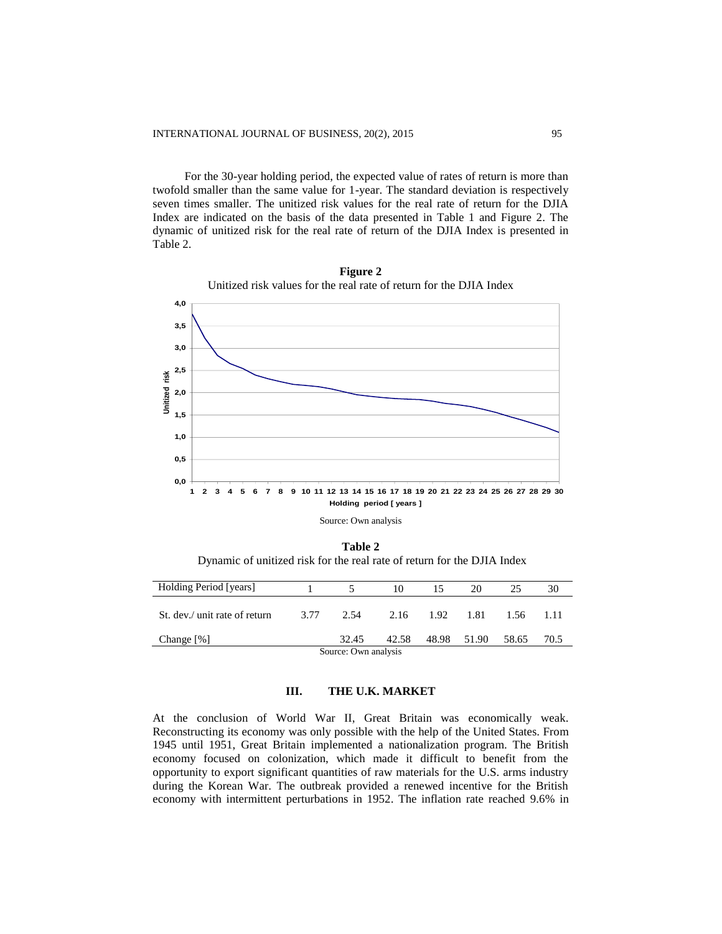For the 30-year holding period, the expected value of rates of return is more than twofold smaller than the same value for 1-year. The standard deviation is respectively seven times smaller. The unitized risk values for the real rate of return for the DJIA Index are indicated on the basis of the data presented in Table 1 and Figure 2. The dynamic of unitized risk for the real rate of return of the DJIA Index is presented in Table 2.



**Figure 2** Unitized risk values for the real rate of return for the DJIA Index

**Table 2** Dynamic of unitized risk for the real rate of return for the DJIA Index

| Holding Period [years]        |      | $\sim$               | 10    |                | 20          | 25    | 30   |
|-------------------------------|------|----------------------|-------|----------------|-------------|-------|------|
| St. dev./ unit rate of return | 3.77 | 2.54                 |       | 2.16 1.92 1.81 |             | 1.56  | 1.11 |
| Change [%]                    |      | 32.45                | 42.58 |                | 48.98 51.90 | 58.65 | 70.5 |
|                               |      | Source: Own analysis |       |                |             |       |      |

# **III. THE U.K. MARKET**

At the conclusion of World War II, Great Britain was economically weak. Reconstructing its economy was only possible with the help of the United States. From 1945 until 1951, Great Britain implemented a nationalization program. The British economy focused on colonization, which made it difficult to benefit from the opportunity to export significant quantities of raw materials for the U.S. arms industry during the Korean War. The outbreak provided a renewed incentive for the British economy with intermittent perturbations in 1952. The inflation rate reached 9.6% in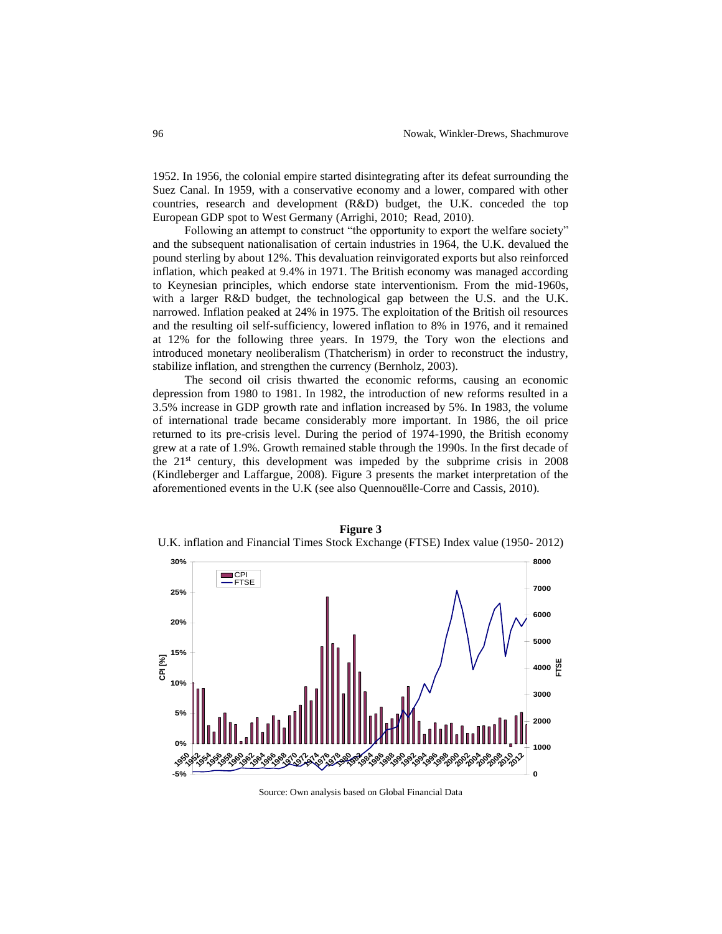1952. In 1956, the colonial empire started disintegrating after its defeat surrounding the Suez Canal. In 1959, with a conservative economy and a lower, compared with other countries, research and development (R&D) budget, the U.K. conceded the top European GDP spot to West Germany (Arrighi, 2010; Read, 2010).

Following an attempt to construct "the opportunity to export the welfare society" and the subsequent nationalisation of certain industries in 1964, the U.K. devalued the pound sterling by about 12%. This devaluation reinvigorated exports but also reinforced inflation, which peaked at 9.4% in 1971. The British economy was managed according to Keynesian principles, which endorse state interventionism. From the mid-1960s, with a larger R&D budget, the technological gap between the U.S. and the U.K. narrowed. Inflation peaked at 24% in 1975. The exploitation of the British oil resources and the resulting oil self-sufficiency, lowered inflation to 8% in 1976, and it remained at 12% for the following three years. In 1979, the Tory won the elections and introduced monetary neoliberalism (Thatcherism) in order to reconstruct the industry, stabilize inflation, and strengthen the currency (Bernholz, 2003).

The second oil crisis thwarted the economic reforms, causing an economic depression from 1980 to 1981. In 1982, the introduction of new reforms resulted in a 3.5% increase in GDP growth rate and inflation increased by 5%. In 1983, the volume of international trade became considerably more important. In 1986, the oil price returned to its pre-crisis level. During the period of 1974-1990, the British economy grew at a rate of 1.9%. Growth remained stable through the 1990s. In the first decade of the  $21<sup>st</sup>$  century, this development was impeded by the subprime crisis in 2008 (Kindleberger and Laffargue, 2008). Figure 3 presents the market interpretation of the aforementioned events in the U.K (see also Quennouëlle-Corre and Cassis, 2010).



**Figure 3** U.K. inflation and Financial Times Stock Exchange (FTSE) Index value (1950- 2012)

Source: Own analysis based on Global Financial Data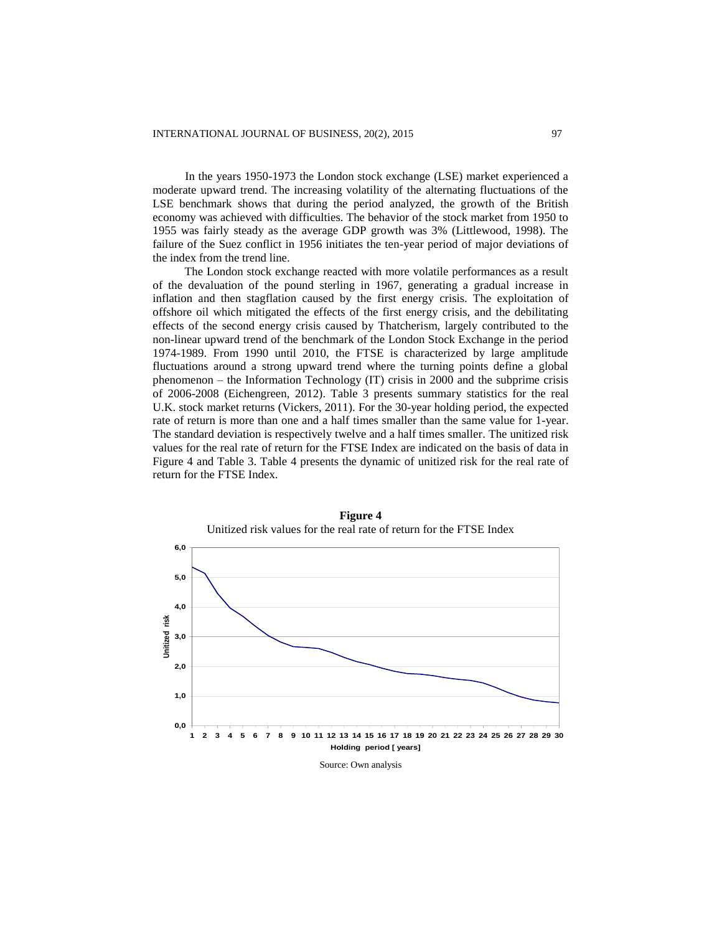In the years 1950-1973 the London stock exchange (LSE) market experienced a moderate upward trend. The increasing volatility of the alternating fluctuations of the LSE benchmark shows that during the period analyzed, the growth of the British economy was achieved with difficulties. The behavior of the stock market from 1950 to 1955 was fairly steady as the average GDP growth was 3% (Littlewood, 1998). The failure of the Suez conflict in 1956 initiates the ten-year period of major deviations of the index from the trend line.

The London stock exchange reacted with more volatile performances as a result of the devaluation of the pound sterling in 1967, generating a gradual increase in inflation and then stagflation caused by the first energy crisis. The exploitation of offshore oil which mitigated the effects of the first energy crisis, and the debilitating effects of the second energy crisis caused by Thatcherism, largely contributed to the non-linear upward trend of the benchmark of the London Stock Exchange in the period 1974-1989. From 1990 until 2010, the FTSE is characterized by large amplitude fluctuations around a strong upward trend where the turning points define a global phenomenon – the Information Technology (IT) crisis in 2000 and the subprime crisis of 2006-2008 (Eichengreen, 2012). Table 3 presents summary statistics for the real U.K. stock market returns (Vickers, 2011). For the 30-year holding period, the expected rate of return is more than one and a half times smaller than the same value for 1-year. The standard deviation is respectively twelve and a half times smaller. The unitized risk values for the real rate of return for the FTSE Index are indicated on the basis of data in Figure 4 and Table 3. Table 4 presents the dynamic of unitized risk for the real rate of return for the FTSE Index.



**Figure 4** Unitized risk values for the real rate of return for the FTSE Index

Source: Own analysis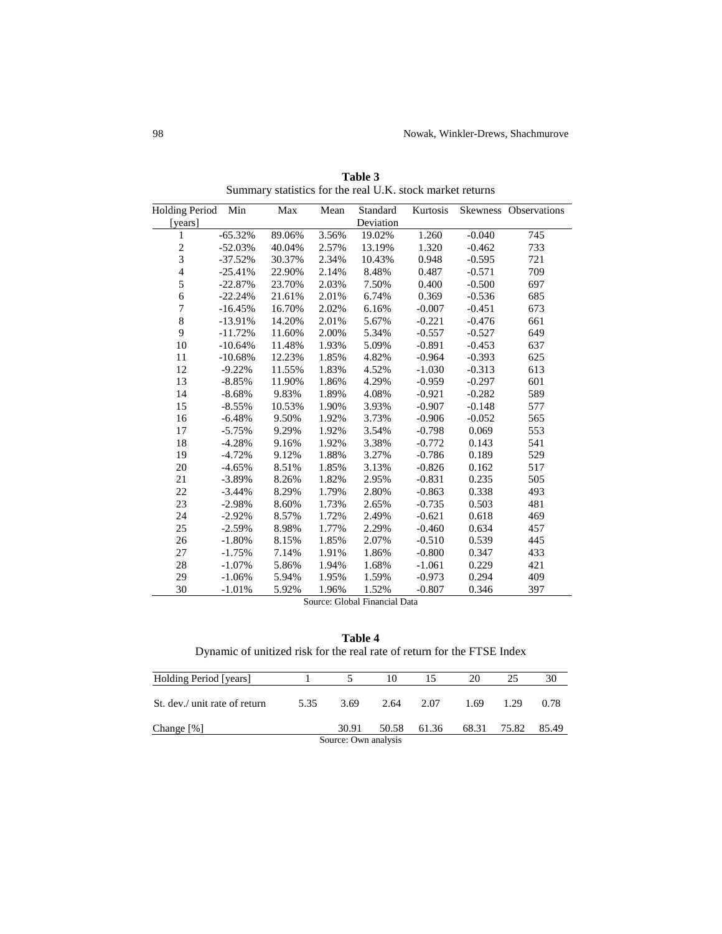| <b>Holding Period</b>   | Min       | Max    | Mean  | Standard  | Kurtosis |          | Skewness Observations |
|-------------------------|-----------|--------|-------|-----------|----------|----------|-----------------------|
| [years]                 |           |        |       | Deviation |          |          |                       |
| 1                       | $-65.32%$ | 89.06% | 3.56% | 19.02%    | 1.260    | $-0.040$ | 745                   |
| $\overline{c}$          | $-52.03%$ | 40.04% | 2.57% | 13.19%    | 1.320    | $-0.462$ | 733                   |
| $\overline{\mathbf{3}}$ | $-37.52%$ | 30.37% | 2.34% | 10.43%    | 0.948    | $-0.595$ | 721                   |
| $\overline{4}$          | $-25.41%$ | 22.90% | 2.14% | 8.48%     | 0.487    | $-0.571$ | 709                   |
| 5                       | $-22.87%$ | 23.70% | 2.03% | 7.50%     | 0.400    | $-0.500$ | 697                   |
| 6                       | $-22.24%$ | 21.61% | 2.01% | 6.74%     | 0.369    | $-0.536$ | 685                   |
| 7                       | $-16.45%$ | 16.70% | 2.02% | 6.16%     | $-0.007$ | $-0.451$ | 673                   |
| 8                       | $-13.91%$ | 14.20% | 2.01% | 5.67%     | $-0.221$ | $-0.476$ | 661                   |
| 9                       | $-11.72%$ | 11.60% | 2.00% | 5.34%     | $-0.557$ | $-0.527$ | 649                   |
| 10                      | $-10.64%$ | 11.48% | 1.93% | 5.09%     | $-0.891$ | $-0.453$ | 637                   |
| 11                      | $-10.68%$ | 12.23% | 1.85% | 4.82%     | $-0.964$ | $-0.393$ | 625                   |
| 12                      | $-9.22%$  | 11.55% | 1.83% | 4.52%     | $-1.030$ | $-0.313$ | 613                   |
| 13                      | $-8.85%$  | 11.90% | 1.86% | 4.29%     | $-0.959$ | $-0.297$ | 601                   |
| 14                      | $-8.68%$  | 9.83%  | 1.89% | 4.08%     | $-0.921$ | $-0.282$ | 589                   |
| 15                      | $-8.55%$  | 10.53% | 1.90% | 3.93%     | $-0.907$ | $-0.148$ | 577                   |
| 16                      | $-6.48%$  | 9.50%  | 1.92% | 3.73%     | $-0.906$ | $-0.052$ | 565                   |
| 17                      | $-5.75%$  | 9.29%  | 1.92% | 3.54%     | $-0.798$ | 0.069    | 553                   |
| 18                      | $-4.28%$  | 9.16%  | 1.92% | 3.38%     | $-0.772$ | 0.143    | 541                   |
| 19                      | $-4.72%$  | 9.12%  | 1.88% | 3.27%     | $-0.786$ | 0.189    | 529                   |
| 20                      | $-4.65%$  | 8.51%  | 1.85% | 3.13%     | $-0.826$ | 0.162    | 517                   |
| 21                      | $-3.89%$  | 8.26%  | 1.82% | 2.95%     | $-0.831$ | 0.235    | 505                   |
| 22                      | $-3.44%$  | 8.29%  | 1.79% | 2.80%     | $-0.863$ | 0.338    | 493                   |
| 23                      | $-2.98%$  | 8.60%  | 1.73% | 2.65%     | $-0.735$ | 0.503    | 481                   |
| 24                      | $-2.92%$  | 8.57%  | 1.72% | 2.49%     | $-0.621$ | 0.618    | 469                   |
| 25                      | $-2.59%$  | 8.98%  | 1.77% | 2.29%     | $-0.460$ | 0.634    | 457                   |
| 26                      | $-1.80%$  | 8.15%  | 1.85% | 2.07%     | $-0.510$ | 0.539    | 445                   |
| 27                      | $-1.75%$  | 7.14%  | 1.91% | 1.86%     | $-0.800$ | 0.347    | 433                   |
| 28                      | $-1.07\%$ | 5.86%  | 1.94% | 1.68%     | $-1.061$ | 0.229    | 421                   |
| 29                      | $-1.06%$  | 5.94%  | 1.95% | 1.59%     | $-0.973$ | 0.294    | 409                   |
| 30                      | $-1.01%$  | 5.92%  | 1.96% | 1.52%     | $-0.807$ | 0.346    | 397                   |

**Table 3** Summary statistics for the real U.K. stock market returns

Source: Global Financial Data

**Table 4** Dynamic of unitized risk for the real rate of return for the FTSE Index

| Holding Period [years]        |      |                      | 10        |             | 20   |             | 30    |
|-------------------------------|------|----------------------|-----------|-------------|------|-------------|-------|
| St. dev./ unit rate of return | 5.35 | 3.69                 | 2.64 2.07 |             | 1.69 | 1.29        | 0.78  |
| Change $[\%]$                 |      | 30.91                |           | 50.58 61.36 |      | 68.31 75.82 | 85.49 |
|                               |      | Source: Own analysis |           |             |      |             |       |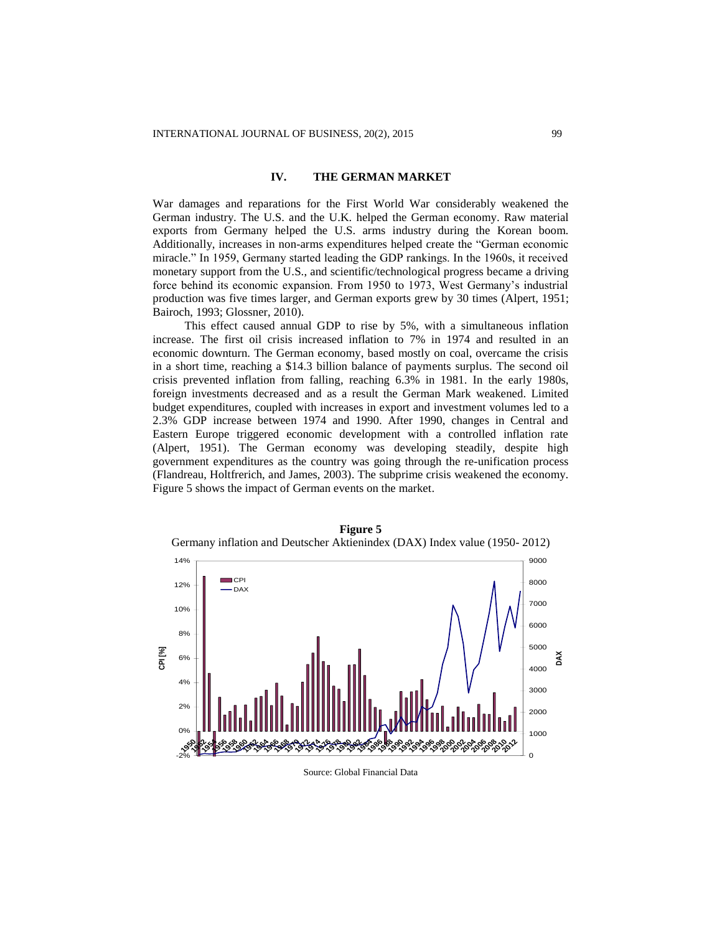## **IV. THE GERMAN MARKET**

War damages and reparations for the First World War considerably weakened the German industry. The U.S. and the U.K. helped the German economy. Raw material exports from Germany helped the U.S. arms industry during the Korean boom. Additionally, increases in non-arms expenditures helped create the "German economic miracle." In 1959, Germany started leading the GDP rankings. In the 1960s, it received monetary support from the U.S., and scientific/technological progress became a driving force behind its economic expansion. From 1950 to 1973, West Germany's industrial production was five times larger, and German exports grew by 30 times (Alpert, 1951; Bairoch, 1993; Glossner, 2010).

This effect caused annual GDP to rise by 5%, with a simultaneous inflation increase. The first oil crisis increased inflation to 7% in 1974 and resulted in an economic downturn. The German economy, based mostly on coal, overcame the crisis in a short time, reaching a \$14.3 billion balance of payments surplus. The second oil crisis prevented inflation from falling, reaching 6.3% in 1981. In the early 1980s, foreign investments decreased and as a result the German Mark weakened. Limited budget expenditures, coupled with increases in export and investment volumes led to a 2.3% GDP increase between 1974 and 1990. After 1990, changes in Central and Eastern Europe triggered economic development with a controlled inflation rate (Alpert, 1951). The German economy was developing steadily, despite high government expenditures as the country was going through the re-unification process (Flandreau, Holtfrerich, and James, 2003). The subprime crisis weakened the economy. Figure 5 shows the impact of German events on the market.



**Figure 5** Germany inflation and Deutscher Aktienindex (DAX) Index value (1950- 2012)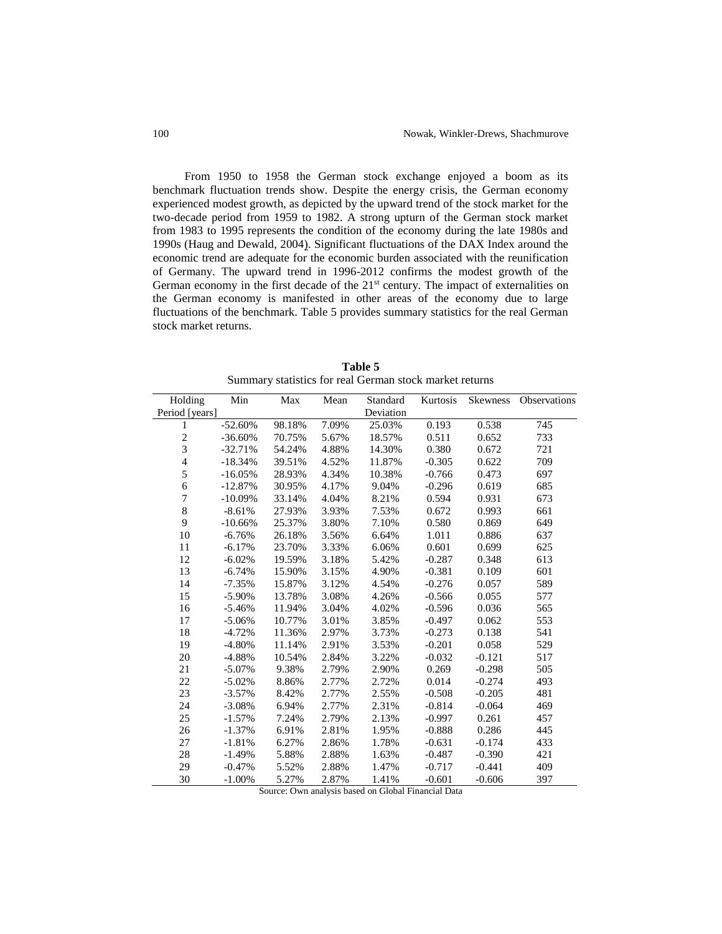From 1950 to 1958 the German stock exchange enjoyed a boom as its benchmark fluctuation trends show. Despite the energy crisis, the German economy experienced modest growth, as depicted by the upward trend of the stock market for the two-decade period from 1959 to 1982. A strong upturn of the German stock market from 1983 to 1995 represents the condition of the economy during the late 1980s and 1990s (Haug and Dewald, 2004). Significant fluctuations of the DAX Index around the economic trend are adequate for the economic burden associated with the reunification of Germany. The upward trend in 1996-2012 confirms the modest growth of the German economy in the first decade of the 21<sup>st</sup> century. The impact of externalities on the German economy is manifested in other areas of the economy due to large fluctuations of the benchmark. Table 5 provides summary statistics for the real German stock market returns.

| Holding                 | Min       | Max    | Mean  | Standard  | Kurtosis | <b>Skewness</b> | Observations |
|-------------------------|-----------|--------|-------|-----------|----------|-----------------|--------------|
| Period [years]          |           |        |       | Deviation |          |                 |              |
| 1                       | $-52.60%$ | 98.18% | 7.09% | 25.03%    | 0.193    | 0.538           | 745          |
| $\overline{\mathbf{c}}$ | $-36.60%$ | 70.75% | 5.67% | 18.57%    | 0.511    | 0.652           | 733          |
| 3                       | $-32.71%$ | 54.24% | 4.88% | 14.30%    | 0.380    | 0.672           | 721          |
| $\overline{4}$          | $-18.34%$ | 39.51% | 4.52% | 11.87%    | $-0.305$ | 0.622           | 709          |
| 5                       | $-16.05%$ | 28.93% | 4.34% | 10.38%    | $-0.766$ | 0.473           | 697          |
| $\epsilon$              | $-12.87%$ | 30.95% | 4.17% | 9.04%     | $-0.296$ | 0.619           | 685          |
| 7                       | $-10.09%$ | 33.14% | 4.04% | 8.21%     | 0.594    | 0.931           | 673          |
| $\,8$                   | $-8.61%$  | 27.93% | 3.93% | 7.53%     | 0.672    | 0.993           | 661          |
| 9                       | $-10.66%$ | 25.37% | 3.80% | 7.10%     | 0.580    | 0.869           | 649          |
| 10                      | $-6.76%$  | 26.18% | 3.56% | 6.64%     | 1.011    | 0.886           | 637          |
| 11                      | $-6.17%$  | 23.70% | 3.33% | 6.06%     | 0.601    | 0.699           | 625          |
| 12                      | $-6.02%$  | 19.59% | 3.18% | 5.42%     | $-0.287$ | 0.348           | 613          |
| 13                      | $-6.74%$  | 15.90% | 3.15% | 4.90%     | $-0.381$ | 0.109           | 601          |
| 14                      | $-7.35%$  | 15.87% | 3.12% | 4.54%     | $-0.276$ | 0.057           | 589          |
| 15                      | $-5.90\%$ | 13.78% | 3.08% | 4.26%     | $-0.566$ | 0.055           | 577          |
| 16                      | $-5.46%$  | 11.94% | 3.04% | 4.02%     | $-0.596$ | 0.036           | 565          |
| 17                      | $-5.06%$  | 10.77% | 3.01% | 3.85%     | $-0.497$ | 0.062           | 553          |
| 18                      | $-4.72%$  | 11.36% | 2.97% | 3.73%     | $-0.273$ | 0.138           | 541          |
| 19                      | $-4.80%$  | 11.14% | 2.91% | 3.53%     | $-0.201$ | 0.058           | 529          |
| 20                      | $-4.88%$  | 10.54% | 2.84% | 3.22%     | $-0.032$ | $-0.121$        | 517          |
| 21                      | $-5.07\%$ | 9.38%  | 2.79% | 2.90%     | 0.269    | $-0.298$        | 505          |
| 22                      | $-5.02%$  | 8.86%  | 2.77% | 2.72%     | 0.014    | $-0.274$        | 493          |
| 23                      | $-3.57%$  | 8.42%  | 2.77% | 2.55%     | $-0.508$ | $-0.205$        | 481          |
| 24                      | $-3.08%$  | 6.94%  | 2.77% | 2.31%     | $-0.814$ | $-0.064$        | 469          |
| 25                      | $-1.57%$  | 7.24%  | 2.79% | 2.13%     | $-0.997$ | 0.261           | 457          |
| 26                      | $-1.37%$  | 6.91%  | 2.81% | 1.95%     | $-0.888$ | 0.286           | 445          |
| 27                      | $-1.81%$  | 6.27%  | 2.86% | 1.78%     | $-0.631$ | $-0.174$        | 433          |
| 28                      | $-1.49%$  | 5.88%  | 2.88% | 1.63%     | $-0.487$ | $-0.390$        | 421          |
| 29                      | $-0.47%$  | 5.52%  | 2.88% | 1.47%     | $-0.717$ | $-0.441$        | 409          |
| 30                      | $-1.00\%$ | 5.27%  | 2.87% | 1.41%     | $-0.601$ | $-0.606$        | 397          |
|                         |           |        |       |           |          |                 |              |

**Table 5**  Summary statistics for real German stock market returns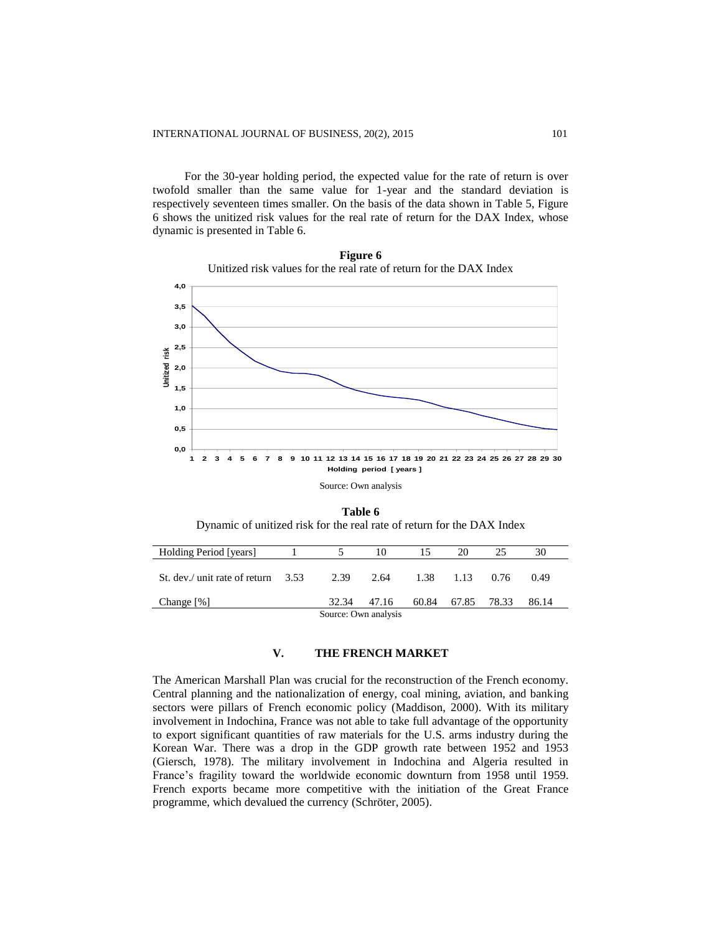For the 30-year holding period, the expected value for the rate of return is over twofold smaller than the same value for 1-year and the standard deviation is respectively seventeen times smaller. On the basis of the data shown in Table 5, Figure 6 shows the unitized risk values for the real rate of return for the DAX Index, whose dynamic is presented in Table 6.



**Figure 6** Unitized risk values for the real rate of return for the DAX Index

**Table 6** Dynamic of unitized risk for the real rate of return for the DAX Index

| Holding Period [years]               |  | 10                   |       | 20 | 25          | 30    |  |
|--------------------------------------|--|----------------------|-------|----|-------------|-------|--|
| St. dev./ unit rate of return $3.53$ |  | 2.39 2.64 1.38 1.13  |       |    | 0.76        | 0.49  |  |
| Change $[\%]$                        |  | 32.34 47.16          | 60.84 |    | 67.85 78.33 | 86.14 |  |
|                                      |  | Source: Own analysis |       |    |             |       |  |

## **V. THE FRENCH MARKET**

The American Marshall Plan was crucial for the reconstruction of the French economy. Central planning and the nationalization of energy, coal mining, aviation, and banking sectors were pillars of French economic policy (Maddison, 2000). With its military involvement in Indochina, France was not able to take full advantage of the opportunity to export significant quantities of raw materials for the U.S. arms industry during the Korean War. There was a drop in the GDP growth rate between 1952 and 1953 (Giersch, 1978). The military involvement in Indochina and Algeria resulted in France's fragility toward the worldwide economic downturn from 1958 until 1959. French exports became more competitive with the initiation of the Great France programme, which devalued the currency (Schröter, 2005).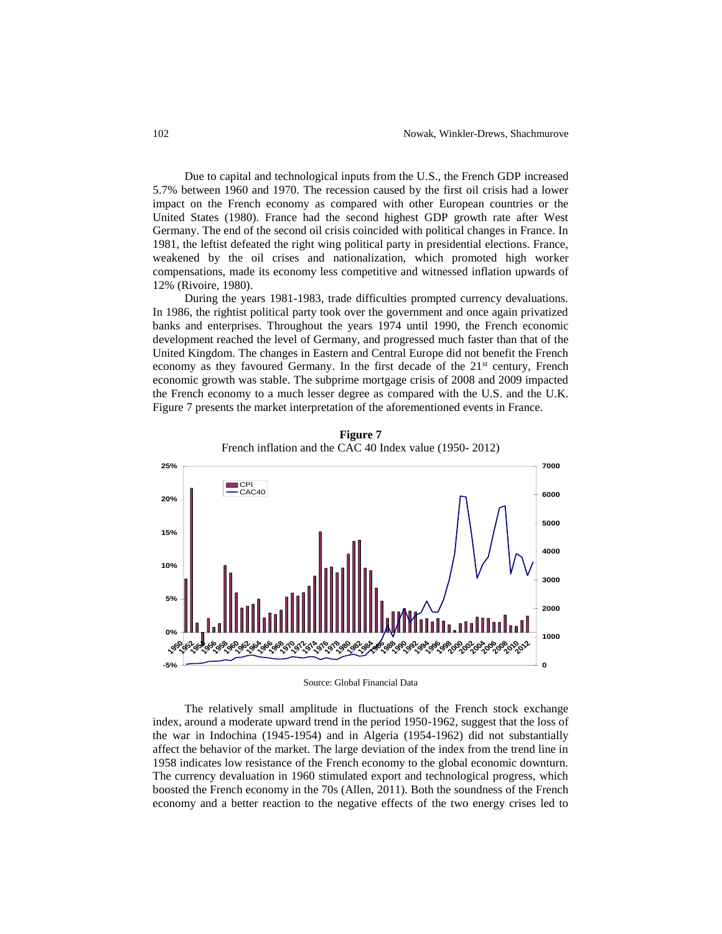Due to capital and technological inputs from the U.S., the French GDP increased 5.7% between 1960 and 1970. The recession caused by the first oil crisis had a lower impact on the French economy as compared with other European countries or the United States (1980). France had the second highest GDP growth rate after West Germany. The end of the second oil crisis coincided with political changes in France. In 1981, the leftist defeated the right wing political party in presidential elections. France, weakened by the oil crises and nationalization, which promoted high worker compensations, made its economy less competitive and witnessed inflation upwards of 12% (Rivoire, 1980).

During the years 1981-1983, trade difficulties prompted currency devaluations. In 1986, the rightist political party took over the government and once again privatized banks and enterprises. Throughout the years 1974 until 1990, the French economic development reached the level of Germany, and progressed much faster than that of the United Kingdom. The changes in Eastern and Central Europe did not benefit the French economy as they favoured Germany. In the first decade of the  $21<sup>st</sup>$  century, French economic growth was stable. The subprime mortgage crisis of 2008 and 2009 impacted the French economy to a much lesser degree as compared with the U.S. and the U.K. Figure 7 presents the market interpretation of the aforementioned events in France.



**Figure 7** French inflation and the CAC 40 Index value (1950- 2012)

Source: Global Financial Data

The relatively small amplitude in fluctuations of the French stock exchange index, around a moderate upward trend in the period 1950-1962, suggest that the loss of the war in Indochina (1945-1954) and in Algeria (1954-1962) did not substantially affect the behavior of the market. The large deviation of the index from the trend line in 1958 indicates low resistance of the French economy to the global economic downturn. The currency devaluation in 1960 stimulated export and technological progress, which boosted the French economy in the 70s (Allen, 2011). Both the soundness of the French economy and a better reaction to the negative effects of the two energy crises led to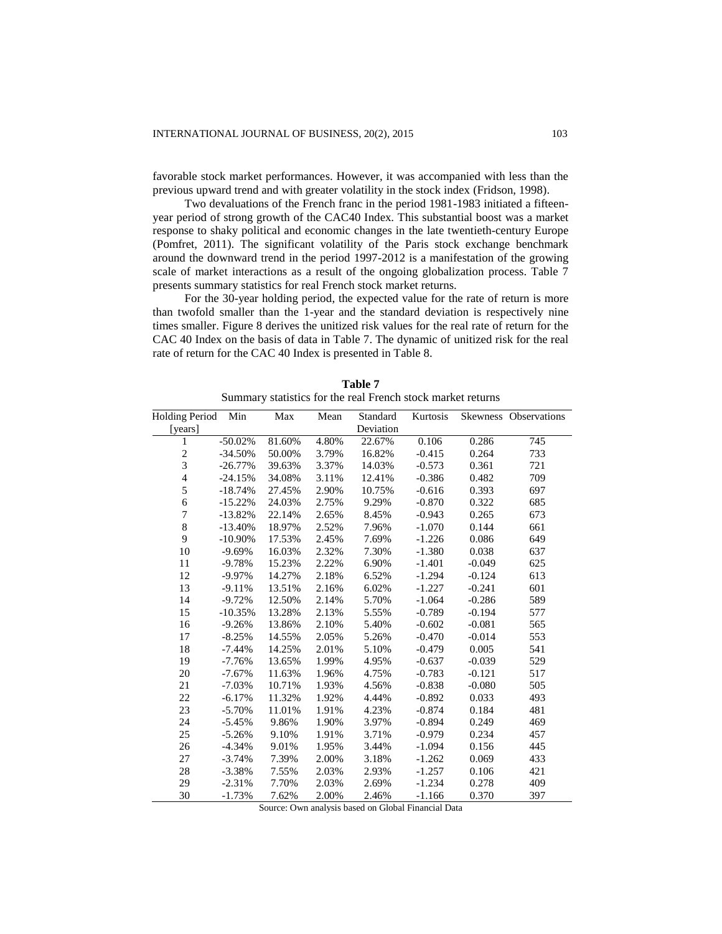favorable stock market performances. However, it was accompanied with less than the previous upward trend and with greater volatility in the stock index (Fridson, 1998).

Two devaluations of the French franc in the period 1981-1983 initiated a fifteenyear period of strong growth of the CAC40 Index. This substantial boost was a market response to shaky political and economic changes in the late twentieth-century Europe (Pomfret, 2011). The significant volatility of the Paris stock exchange benchmark around the downward trend in the period 1997-2012 is a manifestation of the growing scale of market interactions as a result of the ongoing globalization process. Table 7 presents summary statistics for real French stock market returns.

For the 30-year holding period, the expected value for the rate of return is more than twofold smaller than the 1-year and the standard deviation is respectively nine times smaller. Figure 8 derives the unitized risk values for the real rate of return for the CAC 40 Index on the basis of data in Table 7. The dynamic of unitized risk for the real rate of return for the CAC 40 Index is presented in Table 8.

| <b>Holding Period</b> | Min        | Max    | Mean  | Standard  | Kurtosis |          | Skewness Observations |
|-----------------------|------------|--------|-------|-----------|----------|----------|-----------------------|
| [years]               |            |        |       | Deviation |          |          |                       |
| $\mathbf{1}$          | $-50.02%$  | 81.60% | 4.80% | 22.67%    | 0.106    | 0.286    | 745                   |
| $\overline{c}$        | $-34.50%$  | 50.00% | 3.79% | 16.82%    | $-0.415$ | 0.264    | 733                   |
| $\overline{3}$        | $-26.77%$  | 39.63% | 3.37% | 14.03%    | $-0.573$ | 0.361    | 721                   |
| $\overline{4}$        | $-24.15%$  | 34.08% | 3.11% | 12.41%    | $-0.386$ | 0.482    | 709                   |
| 5                     | $-18.74%$  | 27.45% | 2.90% | 10.75%    | $-0.616$ | 0.393    | 697                   |
| 6                     | $-15.22%$  | 24.03% | 2.75% | 9.29%     | $-0.870$ | 0.322    | 685                   |
| $\overline{7}$        | $-13.82%$  | 22.14% | 2.65% | 8.45%     | $-0.943$ | 0.265    | 673                   |
| 8                     | $-13.40%$  | 18.97% | 2.52% | 7.96%     | $-1.070$ | 0.144    | 661                   |
| 9                     | $-10.90\%$ | 17.53% | 2.45% | 7.69%     | $-1.226$ | 0.086    | 649                   |
| 10                    | $-9.69%$   | 16.03% | 2.32% | 7.30%     | $-1.380$ | 0.038    | 637                   |
| 11                    | $-9.78%$   | 15.23% | 2.22% | 6.90%     | $-1.401$ | $-0.049$ | 625                   |
| 12                    | $-9.97%$   | 14.27% | 2.18% | 6.52%     | $-1.294$ | $-0.124$ | 613                   |
| 13                    | $-9.11%$   | 13.51% | 2.16% | 6.02%     | $-1.227$ | $-0.241$ | 601                   |
| 14                    | $-9.72%$   | 12.50% | 2.14% | 5.70%     | $-1.064$ | $-0.286$ | 589                   |
| 15                    | $-10.35%$  | 13.28% | 2.13% | 5.55%     | $-0.789$ | $-0.194$ | 577                   |
| 16                    | $-9.26%$   | 13.86% | 2.10% | 5.40%     | $-0.602$ | $-0.081$ | 565                   |
| 17                    | $-8.25%$   | 14.55% | 2.05% | 5.26%     | $-0.470$ | $-0.014$ | 553                   |
| 18                    | $-7.44%$   | 14.25% | 2.01% | 5.10%     | $-0.479$ | 0.005    | 541                   |
| 19                    | $-7.76%$   | 13.65% | 1.99% | 4.95%     | $-0.637$ | $-0.039$ | 529                   |
| 20                    | $-7.67%$   | 11.63% | 1.96% | 4.75%     | $-0.783$ | $-0.121$ | 517                   |
| 21                    | $-7.03%$   | 10.71% | 1.93% | 4.56%     | $-0.838$ | $-0.080$ | 505                   |
| 22                    | $-6.17%$   | 11.32% | 1.92% | 4.44%     | $-0.892$ | 0.033    | 493                   |
| 23                    | $-5.70%$   | 11.01% | 1.91% | 4.23%     | $-0.874$ | 0.184    | 481                   |
| 24                    | $-5.45%$   | 9.86%  | 1.90% | 3.97%     | $-0.894$ | 0.249    | 469                   |
| 25                    | $-5.26%$   | 9.10%  | 1.91% | 3.71%     | $-0.979$ | 0.234    | 457                   |
| 26                    | $-4.34%$   | 9.01%  | 1.95% | 3.44%     | $-1.094$ | 0.156    | 445                   |
| 27                    | $-3.74%$   | 7.39%  | 2.00% | 3.18%     | $-1.262$ | 0.069    | 433                   |
| 28                    | $-3.38%$   | 7.55%  | 2.03% | 2.93%     | $-1.257$ | 0.106    | 421                   |
| 29                    | $-2.31%$   | 7.70%  | 2.03% | 2.69%     | $-1.234$ | 0.278    | 409                   |
| 30                    | $-1.73%$   | 7.62%  | 2.00% | 2.46%     | $-1.166$ | 0.370    | 397                   |

**Table 7** Summary statistics for the real French stock market returns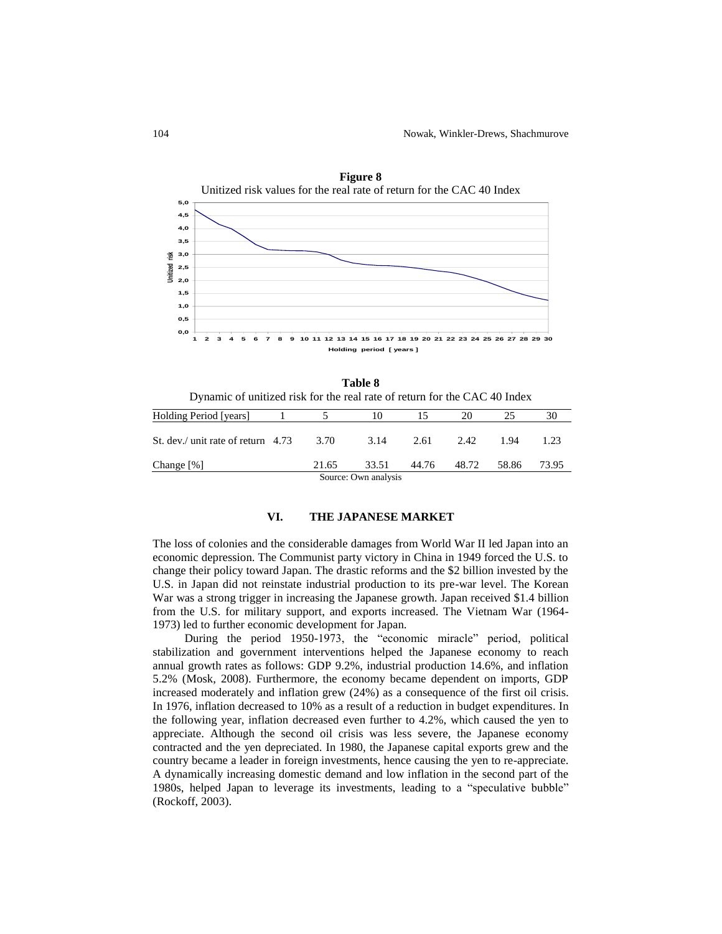

**Table 8** Dynamic of unitized risk for the real rate of return for the CAC 40 Index Holding Period [years] 1 5 10 15 20 25 30

| Holding Period   years               |        |                      |       |       |       |       |
|--------------------------------------|--------|----------------------|-------|-------|-------|-------|
| St. dev./ unit rate of return $4.73$ | - 3.70 | 3.14                 | 2.61  | 2.42  | 1.94  | 1.23  |
| Change $[\%]$                        | 21.65  | 33.51                | 44.76 | 48.72 | 58.86 | 73.95 |
|                                      |        | Source: Own analysis |       |       |       |       |

### **VI. THE JAPANESE MARKET**

The loss of colonies and the considerable damages from World War II led Japan into an economic depression. The Communist party victory in China in 1949 forced the U.S. to change their policy toward Japan. The drastic reforms and the \$2 billion invested by the U.S. in Japan did not reinstate industrial production to its pre-war level. The Korean War was a strong trigger in increasing the Japanese growth. Japan received \$1.4 billion from the U.S. for military support, and exports increased. The Vietnam War (1964- 1973) led to further economic development for Japan.

During the period 1950-1973, the "economic miracle" period, political stabilization and government interventions helped the Japanese economy to reach annual growth rates as follows: GDP 9.2%, industrial production 14.6%, and inflation 5.2% (Mosk, 2008). Furthermore, the economy became dependent on imports, GDP increased moderately and inflation grew (24%) as a consequence of the first oil crisis. In 1976, inflation decreased to 10% as a result of a reduction in budget expenditures. In the following year, inflation decreased even further to 4.2%, which caused the yen to appreciate. Although the second oil crisis was less severe, the Japanese economy contracted and the yen depreciated. In 1980, the Japanese capital exports grew and the country became a leader in foreign investments, hence causing the yen to re-appreciate. A dynamically increasing domestic demand and low inflation in the second part of the 1980s, helped Japan to leverage its investments, leading to a "speculative bubble" (Rockoff, 2003).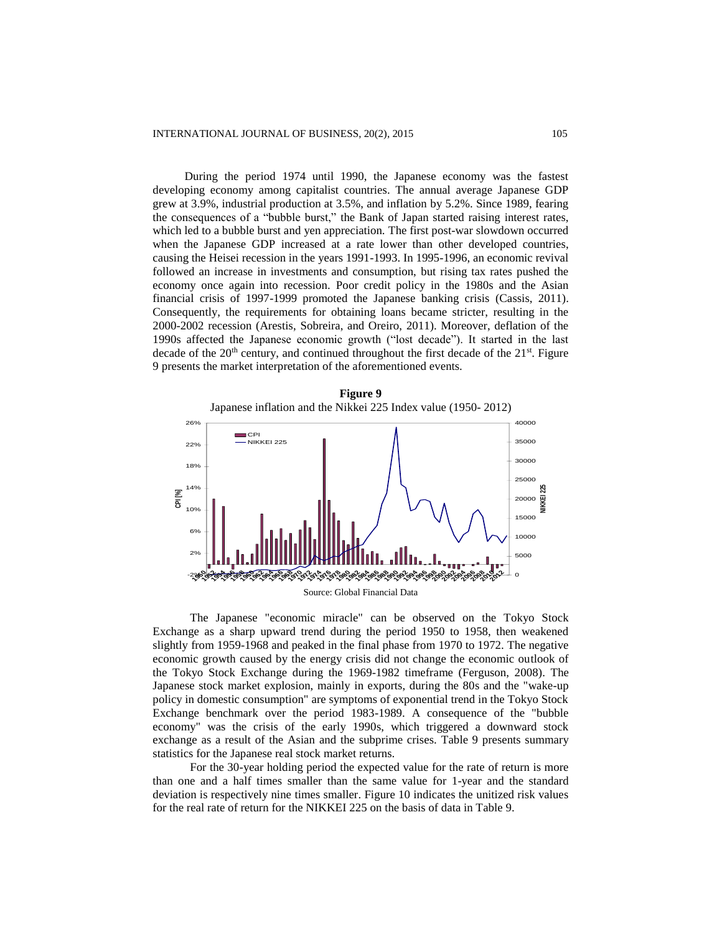During the period 1974 until 1990, the Japanese economy was the fastest developing economy among capitalist countries. The annual average Japanese GDP grew at 3.9%, industrial production at 3.5%, and inflation by 5.2%. Since 1989, fearing the consequences of a "bubble burst," the Bank of Japan started raising interest rates, which led to a bubble burst and yen appreciation. The first post-war slowdown occurred when the Japanese GDP increased at a rate lower than other developed countries, causing the Heisei recession in the years 1991-1993. In 1995-1996, an economic revival followed an increase in investments and consumption, but rising tax rates pushed the economy once again into recession. Poor credit policy in the 1980s and the Asian financial crisis of 1997-1999 promoted the Japanese banking crisis (Cassis, 2011). Consequently, the requirements for obtaining loans became stricter, resulting in the 2000-2002 recession (Arestis, Sobreira, and Oreiro, 2011). Moreover, deflation of the 1990s affected the Japanese economic growth ("lost decade"). It started in the last decade of the  $20<sup>th</sup>$  century, and continued throughout the first decade of the  $21<sup>st</sup>$ . Figure 9 presents the market interpretation of the aforementioned events.



The Japanese "economic miracle" can be observed on the Tokyo Stock Exchange as a sharp upward trend during the period 1950 to 1958, then weakened slightly from 1959-1968 and peaked in the final phase from 1970 to 1972. The negative economic growth caused by the energy crisis did not change the economic outlook of the Tokyo Stock Exchange during the 1969-1982 timeframe (Ferguson, 2008). The Japanese stock market explosion, mainly in exports, during the 80s and the "wake-up policy in domestic consumption" are symptoms of exponential trend in the Tokyo Stock Exchange benchmark over the period 1983-1989. A consequence of the "bubble economy" was the crisis of the early 1990s, which triggered a downward stock exchange as a result of the Asian and the subprime crises. Table 9 presents summary statistics for the Japanese real stock market returns.

For the 30-year holding period the expected value for the rate of return is more than one and a half times smaller than the same value for 1-year and the standard deviation is respectively nine times smaller. Figure 10 indicates the unitized risk values for the real rate of return for the NIKKEI 225 on the basis of data in Table 9.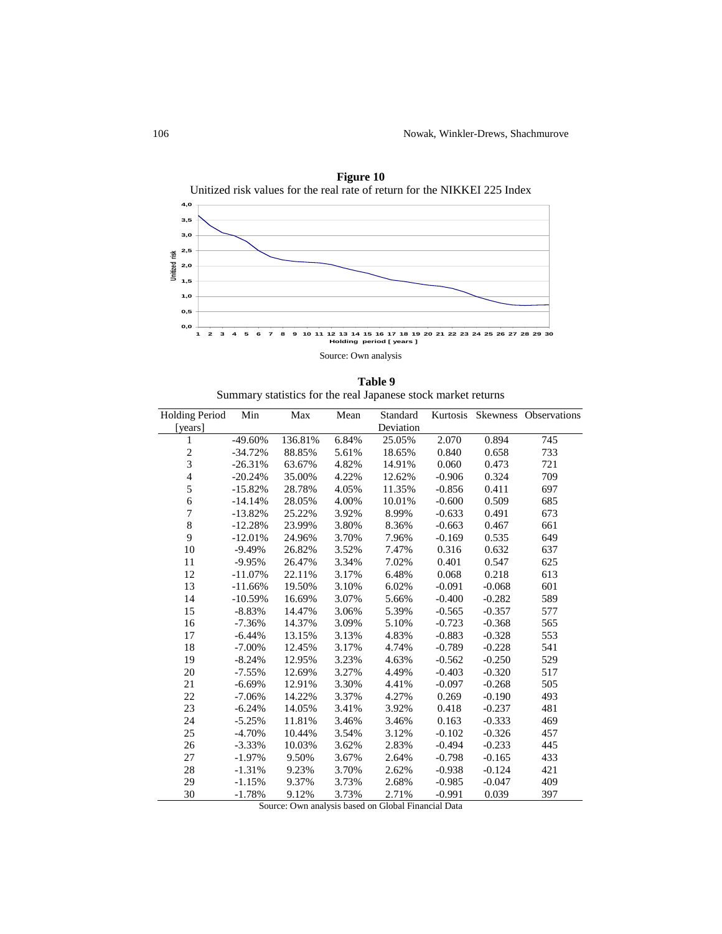

**Figure 10**

**Table 9** Summary statistics for the real Japanese stock market returns

| <b>Holding Period</b>   | Min        | Max     | Mean  | Standard  |          |          | Kurtosis Skewness Observations |
|-------------------------|------------|---------|-------|-----------|----------|----------|--------------------------------|
| [years]                 |            |         |       | Deviation |          |          |                                |
| 1                       | $-49.60%$  | 136.81% | 6.84% | 25.05%    | 2.070    | 0.894    | 745                            |
| $\overline{\mathbf{c}}$ | $-34.72%$  | 88.85%  | 5.61% | 18.65%    | 0.840    | 0.658    | 733                            |
| 3                       | $-26.31%$  | 63.67%  | 4.82% | 14.91%    | 0.060    | 0.473    | 721                            |
| $\overline{4}$          | $-20.24%$  | 35.00%  | 4.22% | 12.62%    | $-0.906$ | 0.324    | 709                            |
| 5                       | $-15.82%$  | 28.78%  | 4.05% | 11.35%    | $-0.856$ | 0.411    | 697                            |
| 6                       | $-14.14%$  | 28.05%  | 4.00% | 10.01%    | $-0.600$ | 0.509    | 685                            |
| $\overline{7}$          | $-13.82%$  | 25.22%  | 3.92% | 8.99%     | $-0.633$ | 0.491    | 673                            |
| 8                       | $-12.28%$  | 23.99%  | 3.80% | 8.36%     | $-0.663$ | 0.467    | 661                            |
| 9                       | $-12.01%$  | 24.96%  | 3.70% | 7.96%     | $-0.169$ | 0.535    | 649                            |
| 10                      | $-9.49%$   | 26.82%  | 3.52% | 7.47%     | 0.316    | 0.632    | 637                            |
| 11                      | $-9.95%$   | 26.47%  | 3.34% | 7.02%     | 0.401    | 0.547    | 625                            |
| 12                      | $-11.07\%$ | 22.11%  | 3.17% | 6.48%     | 0.068    | 0.218    | 613                            |
| 13                      | $-11.66%$  | 19.50%  | 3.10% | 6.02%     | $-0.091$ | $-0.068$ | 601                            |
| 14                      | $-10.59%$  | 16.69%  | 3.07% | 5.66%     | $-0.400$ | $-0.282$ | 589                            |
| 15                      | $-8.83%$   | 14.47%  | 3.06% | 5.39%     | $-0.565$ | $-0.357$ | 577                            |
| 16                      | $-7.36%$   | 14.37%  | 3.09% | 5.10%     | $-0.723$ | $-0.368$ | 565                            |
| 17                      | $-6.44%$   | 13.15%  | 3.13% | 4.83%     | $-0.883$ | $-0.328$ | 553                            |
| 18                      | $-7.00\%$  | 12.45%  | 3.17% | 4.74%     | $-0.789$ | $-0.228$ | 541                            |
| 19                      | $-8.24%$   | 12.95%  | 3.23% | 4.63%     | $-0.562$ | $-0.250$ | 529                            |
| 20                      | $-7.55%$   | 12.69%  | 3.27% | 4.49%     | $-0.403$ | $-0.320$ | 517                            |
| 21                      | $-6.69%$   | 12.91%  | 3.30% | 4.41%     | $-0.097$ | $-0.268$ | 505                            |
| 22                      | $-7.06\%$  | 14.22%  | 3.37% | 4.27%     | 0.269    | $-0.190$ | 493                            |
| 23                      | $-6.24%$   | 14.05%  | 3.41% | 3.92%     | 0.418    | $-0.237$ | 481                            |
| 24                      | $-5.25%$   | 11.81%  | 3.46% | 3.46%     | 0.163    | $-0.333$ | 469                            |
| 25                      | $-4.70%$   | 10.44%  | 3.54% | 3.12%     | $-0.102$ | $-0.326$ | 457                            |
| 26                      | $-3.33%$   | 10.03%  | 3.62% | 2.83%     | $-0.494$ | $-0.233$ | 445                            |
| 27                      | $-1.97%$   | 9.50%   | 3.67% | 2.64%     | $-0.798$ | $-0.165$ | 433                            |
| 28                      | $-1.31%$   | 9.23%   | 3.70% | 2.62%     | $-0.938$ | $-0.124$ | 421                            |
| 29                      | $-1.15%$   | 9.37%   | 3.73% | 2.68%     | $-0.985$ | $-0.047$ | 409                            |
| 30                      | $-1.78%$   | 9.12%   | 3.73% | 2.71%     | $-0.991$ | 0.039    | 397                            |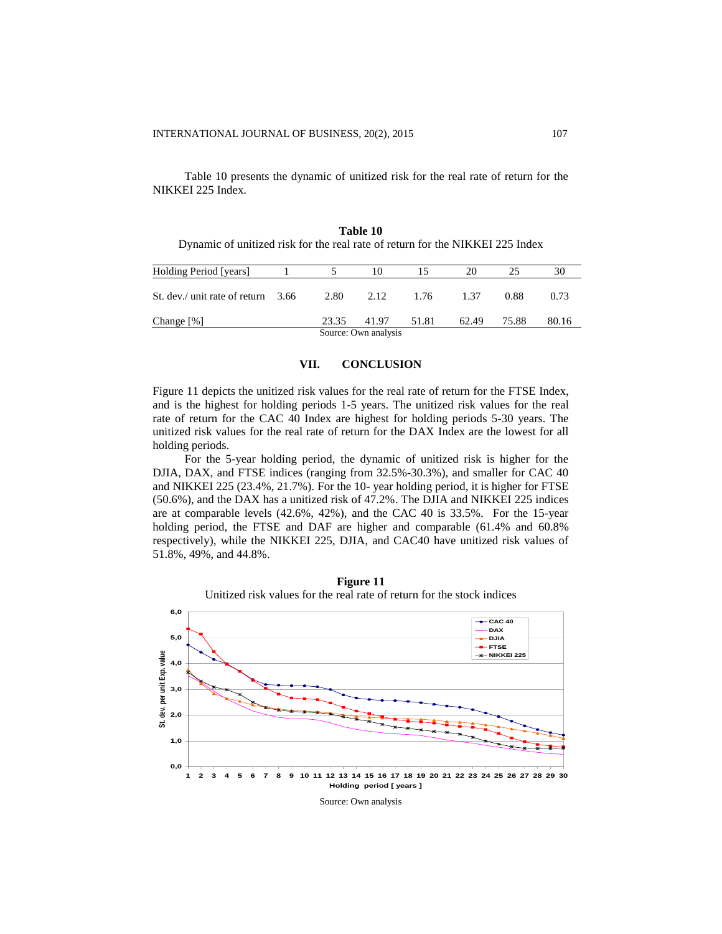Table 10 presents the dynamic of unitized risk for the real rate of return for the NIKKEI 225 Index.

| Holding Period [years]               |       | 10                   |                | 20    | 25    | 30    |
|--------------------------------------|-------|----------------------|----------------|-------|-------|-------|
| St. dev./ unit rate of return $3.66$ |       |                      | 2.80 2.12 1.76 | 1.37  | 0.88  | 0.73  |
| Change $[\%]$                        | 23.35 | 41.97                | 51.81          | 62.49 | 75.88 | 80.16 |
|                                      |       | Source: Own analysis |                |       |       |       |

**Table 10** Dynamic of unitized risk for the real rate of return for the NIKKEI 225 Index

#### **VII. CONCLUSION**

Figure 11 depicts the unitized risk values for the real rate of return for the FTSE Index, and is the highest for holding periods 1-5 years. The unitized risk values for the real rate of return for the CAC 40 Index are highest for holding periods 5-30 years. The unitized risk values for the real rate of return for the DAX Index are the lowest for all holding periods.

For the 5-year holding period, the dynamic of unitized risk is higher for the DJIA, DAX, and FTSE indices (ranging from 32.5%-30.3%), and smaller for CAC 40 and NIKKEI 225 (23.4%, 21.7%). For the 10- year holding period, it is higher for FTSE (50.6%), and the DAX has a unitized risk of 47.2%. The DJIA and NIKKEI 225 indices are at comparable levels (42.6%, 42%), and the CAC 40 is 33.5%. For the 15-year holding period, the FTSE and DAF are higher and comparable (61.4% and 60.8% respectively), while the NIKKEI 225, DJIA, and CAC40 have unitized risk values of 51.8%, 49%, and 44.8%.

**0,0 1,0 2,0 3,0 4,0 5,0 6,0** 2 3 4 5 6 7 8 9 10 11 12 13 14 15 16 17 18 19 20 21 22 23 24 25 26 27 28 29 30 **Holding period [ years ]**<br> **Holding period [ years ]**<br> **Holding period [ years ]**<br>
<br> **Holding period [ years ]**  $-0.40$ **DAX DJIA FTSE NIKKEI 225**

**Figure 11** Unitized risk values for the real rate of return for the stock indices

Source: Own analysis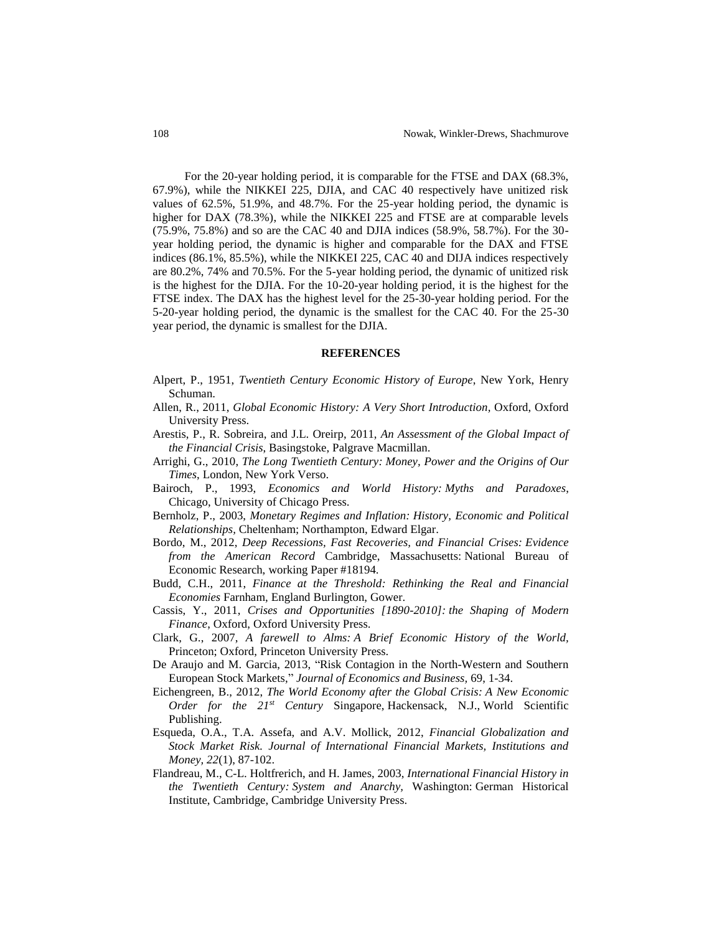For the 20-year holding period, it is comparable for the FTSE and DAX (68.3%, 67.9%), while the NIKKEI 225, DJIA, and CAC 40 respectively have unitized risk values of 62.5%, 51.9%, and 48.7%. For the 25-year holding period, the dynamic is higher for DAX (78.3%), while the NIKKEI 225 and FTSE are at comparable levels (75.9%, 75.8%) and so are the CAC 40 and DJIA indices (58.9%, 58.7%). For the 30 year holding period, the dynamic is higher and comparable for the DAX and FTSE indices (86.1%, 85.5%), while the NIKKEI 225, CAC 40 and DIJA indices respectively are 80.2%, 74% and 70.5%. For the 5-year holding period, the dynamic of unitized risk is the highest for the DJIA. For the 10-20-year holding period, it is the highest for the FTSE index. The DAX has the highest level for the 25-30-year holding period. For the 5-20-year holding period, the dynamic is the smallest for the CAC 40. For the 25-30 year period, the dynamic is smallest for the DJIA.

### **REFERENCES**

- Alpert, P., 1951, *Twentieth Century Economic History of Europe*, New York, Henry Schuman.
- Allen, R., 2011, *Global Economic History: A Very Short Introduction,* Oxford, Oxford University Press.
- Arestis, P., R. Sobreira, and J.L. Oreirp, 2011, *An Assessment of the Global Impact of the Financial Crisis*, Basingstoke, Palgrave Macmillan.
- Arrighi, G., 2010, *The Long Twentieth Century: Money, Power and the Origins of Our Times*, London, New York Verso.
- Bairoch, P., 1993, *Economics and World History: Myths and Paradoxes*, Chicago, University of Chicago Press.
- Bernholz, P., 2003, *Monetary Regimes and Inflation: History, Economic and Political Relationships,* Cheltenham; Northampton, Edward Elgar.
- Bordo, M., 2012, *Deep Recessions, Fast Recoveries, and Financial Crises: Evidence from the American Record* Cambridge, Massachusetts: National Bureau of Economic Research, working Paper #18194.
- Budd, C.H., 2011, *Finance at the Threshold: Rethinking the Real and Financial Economies* Farnham, England Burlington, Gower.
- Cassis, Y., 2011, *Crises and Opportunities [1890-2010]: the Shaping of Modern Finance*, Oxford, Oxford University Press.
- Clark, G., 2007, *A farewell to Alms: A Brief Economic History of the World,*  Princeton; Oxford, Princeton University Press.
- De Araujo and M. Garcia, 2013, "Risk Contagion in the North-Western and Southern European Stock Markets," *Journal of Economics and Business,* 69, 1-34.
- Eichengreen, B., 2012, *The World Economy after the Global Crisis: A New Economic Order for the 21st Century* Singapore, Hackensack, N.J., World Scientific Publishing.
- Esqueda, O.A., T.A. Assefa, and A.V. Mollick, 2012, *Financial Globalization and Stock Market Risk. Journal of International Financial Markets, Institutions and Money, 22*(1), 87-102.
- Flandreau, M., C-L. Holtfrerich, and H. James, 2003, *International Financial History in the Twentieth Century: System and Anarchy,* Washington: German Historical Institute, Cambridge, Cambridge University Press.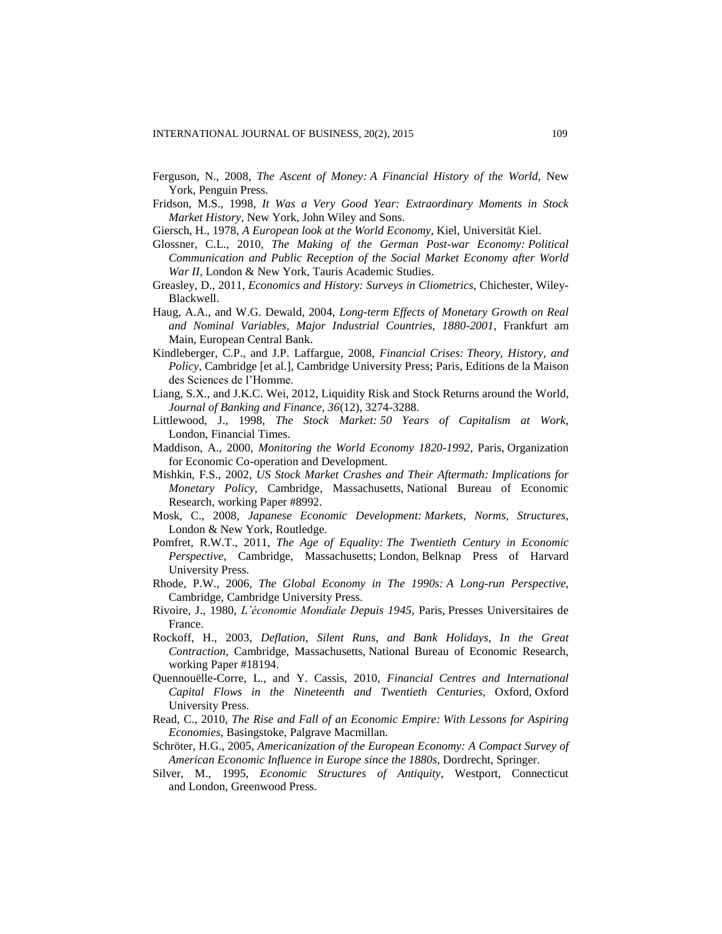- Ferguson, N., 2008, *The Ascent of Money: A Financial History of the World,* New York, Penguin Press.
- Fridson, M.S., 1998, *It Was a Very Good Year: Extraordinary Moments in Stock Market History*, New York, John Wiley and Sons.
- Giersch, H., 1978, *A European look at the World Economy*, Kiel, Universität Kiel.
- Glossner, C.L., 2010, *The Making of the German Post-war Economy: Political Communication and Public Reception of the Social Market Economy after World War II,* London & New York, Tauris Academic Studies.
- Greasley, D., 2011, *Economics and History: Surveys in Cliometrics*, Chichester, Wiley-Blackwell.
- Haug, A.A., and W.G. Dewald, 2004, *Long-term Effects of Monetary Growth on Real and Nominal Variables, Major Industrial Countries, 1880-2001,* Frankfurt am Main, European Central Bank.
- Kindleberger, C.P., and J.P. Laffargue, 2008, *Financial Crises: Theory, History, and Policy*, Cambridge [et al.], Cambridge University Press; Paris, Editions de la Maison des Sciences de l'Homme.
- Liang, S.X., and J.K.C. Wei, 2012, Liquidity Risk and Stock Returns around the World, *Journal of Banking and Finance, 36*(12), 3274-3288.
- Littlewood, J., 1998, *The Stock Market: 50 Years of Capitalism at Work*, London, Financial Times.
- Maddison, A., 2000, *Monitoring the World Economy 1820-1992,* Paris, Organization for Economic Co-operation and Development.
- Mishkin, F.S., 2002, *US Stock Market Crashes and Their Aftermath: Implications for Monetary Policy,* Cambridge, Massachusetts, National Bureau of Economic Research, working Paper #8992.
- Mosk, C., 2008, *Japanese Economic Development: Markets, Norms, Structures*, London & New York, Routledge.
- Pomfret, R.W.T., 2011, *The Age of Equality: The Twentieth Century in Economic Perspective,* Cambridge, Massachusetts; London, Belknap Press of Harvard University Press.
- Rhode, P.W., 2006, *The Global Economy in The 1990s: A Long-run Perspective,*  Cambridge, Cambridge University Press.
- Rivoire, J., 1980, *L'économie Mondiale Depuis 1945*, Paris, Presses Universitaires de France.
- Rockoff, H., 2003, *Deflation, Silent Runs, and Bank Holidays, In the Great Contraction,* Cambridge, Massachusetts, National Bureau of Economic Research, working Paper #18194.
- Quennouëlle-Corre, L., and Y. Cassis, 2010, *Financial Centres and International Capital Flows in the Nineteenth and Twentieth Centuries,* Oxford, Oxford University Press.
- Read, C., 2010, *The Rise and Fall of an Economic Empire: With Lessons for Aspiring Economies*, Basingstoke, Palgrave Macmillan.
- Schröter, H.G., 2005, *Americanization of the European Economy: A Compact Survey of American Economic Influence in Europe since the 1880s,* Dordrecht, Springer.
- Silver, M., 1995, *Economic Structures of Antiquity*, Westport, Connecticut and London, Greenwood Press.